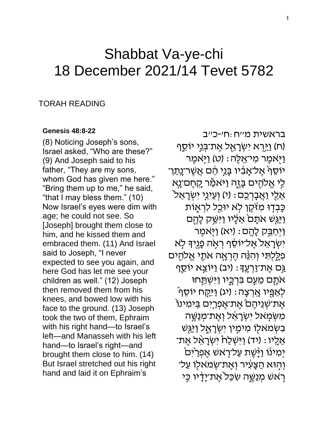# Shabbat Va-ye-chi 18 December 2021/14 Tevet 5782

## TORAH READING

### **[Genesis 48:8-22](https://www.sefaria.org/Genesis.48.8-22)**

(8) Noticing Joseph's sons, Israel asked, "Who are these?" (9) And Joseph said to his father, "They are my sons, whom God has given me here." "Bring them up to me," he said, "that I may bless them." (10) Now Israel's eyes were dim with age; he could not see. So [Joseph] brought them close to him, and he kissed them and embraced them. (11) And Israel said to Joseph, "I never expected to see you again, and here God has let me see your children as well." (12) Joseph then removed them from his knees, and bowed low with his face to the ground. (13) Joseph took the two of them, Ephraim with his right hand—to Israel's left—and Manasseh with his left hand—to Israel's right—and brought them close to him. (14) But Israel stretched out his right hand and laid it on Ephraim's

[בראשית מ״ח:ח׳ -כ״ב](https://www.sefaria.org/Genesis.48.8-22)  (ח) <u>וי</u>ַּרְא יִשְׂרָאֱל אֱת־בָּנֵי יוֹסֵף וַיִּאמֶר מִי־אֱלֶה: (ט) וַיָּאמֶר יֹוֹסֵף<sup>ֹ</sup> אֱל־אָבִ֫יו בָּנֵי הֵ֫ם אֲשֶׁר־נָתַו־ לִי אֵלהִים בָּזֶה וַיּאמַ*ׂר ה*ֲחֵם־נָא ֹאֲלַי וַאֲבָרְכֶם: (י) וְעֵינֵי יִשְׂרָאֵל ָכָּבְדָוּ מֹזִקֵן לְא יוּבַל לִרְאָוֹת <u>וַיַּגְ</u>ּשׁ אתָם<sup>י</sup> אֵלֶיו וַיּשֵּׁק לָהֵם וַיְחַבֵּק לָהֶם: (יֹא) וַיֶּאמֶר יִשְׂרָאֵל אֵל־יוֹסֵׂף רְאָה פָּנֵיִךְ לְא פִלָּתִי וְהִנֶּה הֵרְאֶה אתֵי אֱלֹהִים **ַּגְּם אֶת־זַרְעֵךְ : (יב) וַיּוֹצֵא יוֹסֵ**ף אתָם מֵעֵם בִּרְ<u>בָ</u>יו וַיִּשְׁתְַּחוּ לְאַפֵּיו אֲרִצָּה: (יג) <u>וַיְקַ</u>ּח יוֹסֵף ֿ ּאֶת־שְׁנֵיהֶםׂ אֱת־אֱפְרֵיִם בֵּימִינוֹ מִשְׁמְאל יִשְׂרָאֵל וְאֶת־מְנַשֵּׁה ָבִשְׂמאַלו מִימְין יִשְׂרָאֵל <u>וַי</u>ּגְּש ֹאֲלֵיו: (יד) וַיּשָׁלַחْ יִשְׂרָאֵ֖ל אֶת־ יִמְינוׁ וַיַּּשֶׁת עַל־רָאשׁ אֱפְרַיִם<sup>ּ</sup> ֿוְהִוּא הַצָּעִיר וְאֱת־שְׂמאלִו עַל־ ְרָאשׁ מְנַשֱה שָׂכֵל אֱת־יָדָיו כֵּי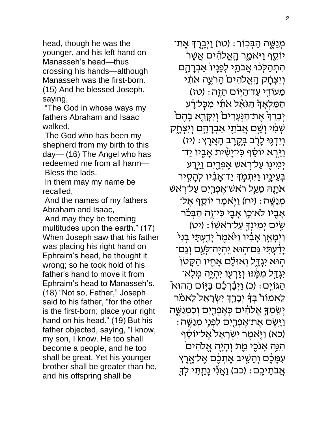head, though he was the younger, and his left hand on Manasseh's head—thus crossing his hands—although Manasseh was the first-born. (15) And he blessed Joseph, saying,

"The God in whose ways my fathers Abraham and Isaac walked,

The God who has been my shepherd from my birth to this day— (16) The Angel who has redeemed me from all harm— Bless the lads.

In them may my name be recalled,

And the names of my fathers Abraham and Isaac,

And may they be teeming multitudes upon the earth." (17) When Joseph saw that his father was placing his right hand on Ephraim's head, he thought it wrong; so he took hold of his father's hand to move it from Ephraim's head to Manasseh's. (18) "Not so, Father," Joseph said to his father, "for the other is the first-born; place your right hand on his head." (19) But his father objected, saying, "I know, my son, I know. He too shall become a people, and he too shall be great. Yet his younger brother shall be greater than he, and his offspring shall be

ּמְנַשֶּׁה הַבְּכִוֹר: (טו) <u>וַיְבָרֶ</u>דְּ אֶת־ יֹוֹסֵף וַיּאמַר הָאֱלהִ֫ים אֲשֶׁר הִתְהַלְּכֹּוּ אֲבֹתַי לְפָנָיוֹ אַבְרָהָם וְיִצְחָק הָאֱלֹהִים הָרֹעֱה אתִי ּמְעוֹדֵי עַד־הַיִּּוּם הַזֶּה: (טז) הַמַּלְאָךְ הַגּאֵל אתו מכָל־רָע יְבָרֵךְ אֶת־הַנְּעָרִים וְיִקָרֶא בָהֶם ְשְׁמִ֫י וְשֵׁם אֲבֹתֵּי אַבְרָהָם וְיִצְחֶק וְיִדְגָּוּ לָרָב בְקֶרֶב הָאֲרֶץ: (יז) וַיַּרְא יוֹסֵׁף כִּי־יָשִׁית אָבִיו יַד־ יִמִינֶו עַל־רָאשׁ אֵפ<u>ְּר</u>ִיִּיִם <u>וַיִּ</u>רַע בִּעֵינָיו וַיּתִמְךָ יַד־אָבִ֫יו לְהָסִיר אתָה מֵעַל ראש־אֶפְרַיִם עַל־רָאש ֹמְנַשֱה: (יֹח) וַיָּאמֶר יוֹסֳֵף אֶל־ אָבִיו לא־כֵן אָבֵי כִּיזֶה הַבְּכֹֹר (יט) אים יִמִינְךָ עַל־ראשִׂו: וַיִּמָאֵן אֲבָ֫יו וַי<sup>ָּ</sup>אמֶר<sup>י</sup> יָדַעְתֵּי בְנִי יָדַעְתִּי גַּם־הָוּא יִהְיֶה־לְעָם וְגַם־ ֿהִוּא יִגְדָל וְאוּלָם אָחִיו הַקָּטן י<u>ְגְד</u>ַל מִמֶּנּוּ וְזַרְעָו יִהְיֶה מְלָא־ ֿהַגּוֹיִם: (כ) וַיְבָּ֫רְכֵۢם בַּיּֽוֹם הַהוּא ֿ לֵאמוֹרֹ בְּדָ יִבְרֶךְ יִשְׂרָאֵל<sup>י</sup>לֵאמֹר יִשְמִךְ אֱלֹהִים כְּאֱפְרֵיִם וְכִמְנַשֶּׁה ֿוַיָּשֶׂם אֶת־אֶפְרַיִם לִפְגֵי מְנַשֶֶּֽה: (כא) וַיָּאמֶר יִשְׂרָאֱל<sup>י</sup>אֲל־יוֹסֵף ֿהִגְּה אָנכִי מֵת וְהָיָה אֱלֹהִים ּעִמָּבֶׁם וְהֵשְיב אֱתְּכֶֶׁם אֱל־אֶרֶץ ּאֲבֹתֵיכֶם : (כב) וַאֲנְי נָתַתֵּי לְדְ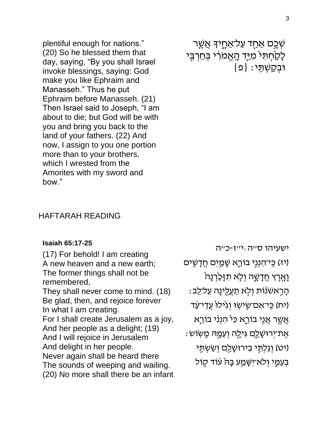plentiful enough for nations." (20) So he blessed them that day, saying, "By you shall Israel invoke blessings, saying: God make you like Ephraim and Manasseh." Thus he put Ephraim before Manasseh. (21) Then Israel said to Joseph, "I am about to die; but God will be with you and bring you back to the land of your fathers. (22) And now, I assign to you one portion more than to your brothers, which I wrested from the Amorites with my sword and bow."

HAFTARAH READING

#### **[Isaiah 65:17-25](https://www.sefaria.org/Isaiah.65.17-25)**

(17) For behold! I am creating A new heaven and a new earth; The former things shall not be remembered, They shall never come to mind. (18) Be glad, then, and rejoice forever In what I am creating. For I shall create Jerusalem as a joy, And her people as a delight; (19) And I will rejoice in Jerusalem And delight in her people. Never again shall be heard there The sounds of weeping and wailing. (20) No more shall there be an infant

ֹשְׁבֶם אַחֻד עַל־אַחֱידָּ אֲשֶר לָקַחְתִּי מִיַּד הָאֱמרִי בְּחַרְבִּי  $\{ \Omega \}$  : וְבְקַשְׁתֵֵּי

[ישעיהו](https://www.sefaria.org/Isaiah.65.17-25) [ס״ה:י״ז-כ״ה](https://www.sefaria.org/Isaiah.65.17-25)

(יז) כֵּי־הִנְנֵי בוֹרֱא שָׁמַיִם חֲדָשִׁים

- ֿוָאֶרֵץ חֲדָשֶׁה וְלָא תִזָּכַ<sup>ּ</sup>רְנָה ָהַרֵאשׂנֹות וְלָא תַעֲלִינַה עַל־לֵב:
- (יח) כֵּי־אָם־שֵׂישְׂוּ וְגִיׁלוּׂ עֲדֵי־עַד
- 
- אֲשֱר אֲנֵי בוֹרֵא כִּיْ הִנְנִי בוֹרֵא
- ּאֵת־יִרוּש<u>ָל</u>ֶם גִּילֻה וְעַמֶּהּ מָשְׂוֹשׂ יט) וְגַלְתָּי בִירוּשָׁלַָם וְשַׁשְׂתָּי)
	- בְעֲמֵי וְלֹא־יִשָּׁמֵע בַּהֹ עוֹד קוֹל